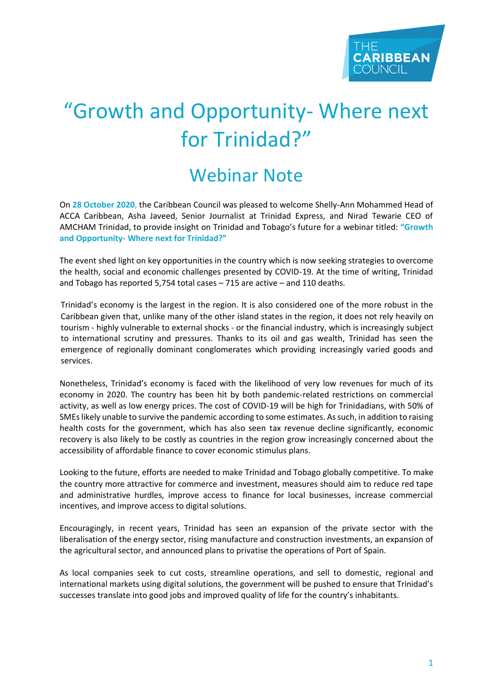## "Growth and Opportunity- Where next for Trinidad?"

## Webinar Note

On **28 October 2020**, the Caribbean Council was pleased to welcome Shelly-Ann Mohammed Head of ACCA Caribbean, Asha Javeed, Senior Journalist at Trinidad Express, and Nirad Tewarie CEO of AMCHAM Trinidad, to provide insight on Trinidad and Tobago's future for a webinar titled: **"Growth and Opportunity- Where next for Trinidad?"**

The event shed light on key opportunities in the country which is now seeking strategies to overcome the health, social and economic challenges presented by COVID-19. At the time of writing, Trinidad and Tobago has reported 5,754 total cases – 715 are active – and 110 deaths.

Trinidad's economy is the largest in the region. It is also considered one of the more robust in the Caribbean given that, unlike many of the other island states in the region, it does not rely heavily on tourism - highly vulnerable to external shocks - or the financial industry, which is increasingly subject to international scrutiny and pressures. Thanks to its oil and gas wealth, Trinidad has seen the emergence of regionally dominant conglomerates which providing increasingly varied goods and services.

Nonetheless, Trinidad's economy is faced with the likelihood of very low revenues for much of its economy in 2020. The country has been hit by both pandemic-related restrictions on commercial activity, as well as low energy prices. The cost of COVID-19 will be high for Trinidadians, with 50% of SMEs likely unable to survive the pandemic according to some estimates. As such, in addition to raising health costs for the government, which has also seen tax revenue decline significantly, economic recovery is also likely to be costly as countries in the region grow increasingly concerned about the accessibility of affordable finance to cover economic stimulus plans.

Looking to the future, efforts are needed to make Trinidad and Tobago globally competitive. To make the country more attractive for commerce and investment, measures should aim to reduce red tape and administrative hurdles, improve access to finance for local businesses, increase commercial incentives, and improve access to digital solutions.

Encouragingly, in recent years, Trinidad has seen an expansion of the private sector with the liberalisation of the energy sector, rising manufacture and construction investments, an expansion of the agricultural sector, and announced plans to privatise the operations of Port of Spain.

As local companies seek to cut costs, streamline operations, and sell to domestic, regional and international markets using digital solutions, the government will be pushed to ensure that Trinidad's successes translate into good jobs and improved quality of life for the country's inhabitants.